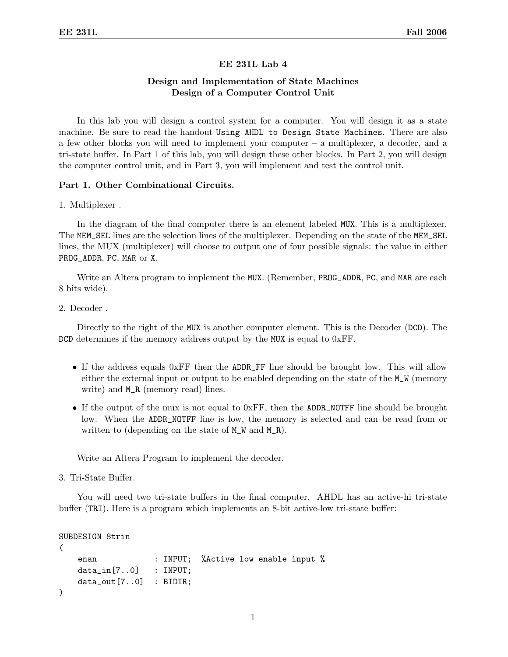## EE 231L Lab 4

# Design and Implementation of State Machines Design of a Computer Control Unit

In this lab you will design a control system for a computer. You will design it as a state machine. Be sure to read the handout Using AHDL to Design State Machines. There are also a few other blocks you will need to implement your computer – a multiplexer, a decoder, and a tri-state buffer. In Part 1 of this lab, you will design these other blocks. In Part 2, you will design the computer control unit, and in Part 3, you will implement and test the control unit.

## Part 1. Other Combinational Circuits.

1. Multiplexer .

In the diagram of the final computer there is an element labeled MUX. This is a multiplexer. The MEM\_SEL lines are the selection lines of the multiplexer. Depending on the state of the MEM\_SEL lines, the MUX (multiplexer) will choose to output one of four possible signals: the value in either PROG\_ADDR, PC, MAR or X.

Write an Altera program to implement the MUX. (Remember, PROG\_ADDR, PC, and MAR are each 8 bits wide).

2. Decoder .

Directly to the right of the MUX is another computer element. This is the Decoder (DCD). The DCD determines if the memory address output by the MUX is equal to 0xFF.

- If the address equals 0xFF then the ADDR\_FF line should be brought low. This will allow either the external input or output to be enabled depending on the state of the M\_W (memory write) and M\_R (memory read) lines.
- If the output of the mux is not equal to  $0xFF$ , then the ADDR\_NOTFF line should be brought low. When the ADDR\_NOTFF line is low, the memory is selected and can be read from or written to (depending on the state of  $M_W$  and  $M_R$ ).

Write an Altera Program to implement the decoder.

3. Tri-State Buffer.

You will need two tri-state buffers in the final computer. AHDL has an active-hi tri-state buffer (TRI). Here is a program which implements an 8-bit active-low tri-state buffer:

```
SUBDESIGN 8trin
```

```
(
   enan : INPUT; %Active low enable input %
   data_in[7..0] : INPUT;
   data_out[7..0] : BIDIR;
)
```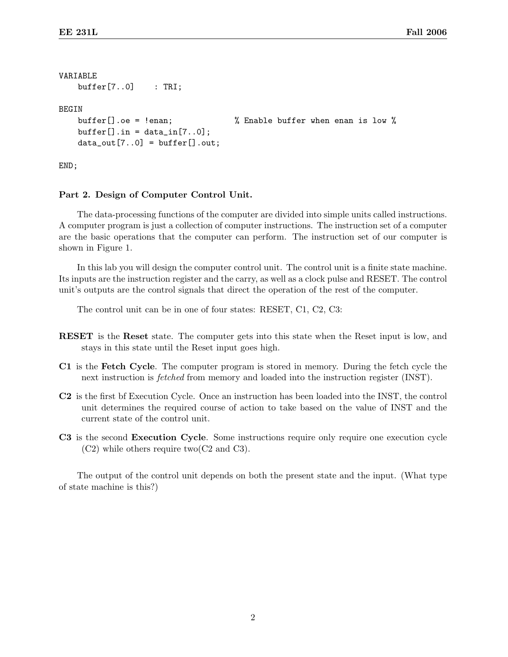```
VARIABLE
   buffer[7..0] : TRI;
BEGIN
   buffer[].oe = !enan; \% Enable buffer when enan is low \%buffer[].in = data_in[7..0];data_out[7..0] = buffer[].out;
```
END;

## Part 2. Design of Computer Control Unit.

The data-processing functions of the computer are divided into simple units called instructions. A computer program is just a collection of computer instructions. The instruction set of a computer are the basic operations that the computer can perform. The instruction set of our computer is shown in Figure 1.

In this lab you will design the computer control unit. The control unit is a finite state machine. Its inputs are the instruction register and the carry, as well as a clock pulse and RESET. The control unit's outputs are the control signals that direct the operation of the rest of the computer.

The control unit can be in one of four states: RESET, C1, C2, C3:

- RESET is the Reset state. The computer gets into this state when the Reset input is low, and stays in this state until the Reset input goes high.
- C1 is the Fetch Cycle. The computer program is stored in memory. During the fetch cycle the next instruction is *fetched* from memory and loaded into the instruction register (INST).
- C2 is the first bf Execution Cycle. Once an instruction has been loaded into the INST, the control unit determines the required course of action to take based on the value of INST and the current state of the control unit.
- C3 is the second Execution Cycle. Some instructions require only require one execution cycle (C2) while others require two(C2 and C3).

The output of the control unit depends on both the present state and the input. (What type of state machine is this?)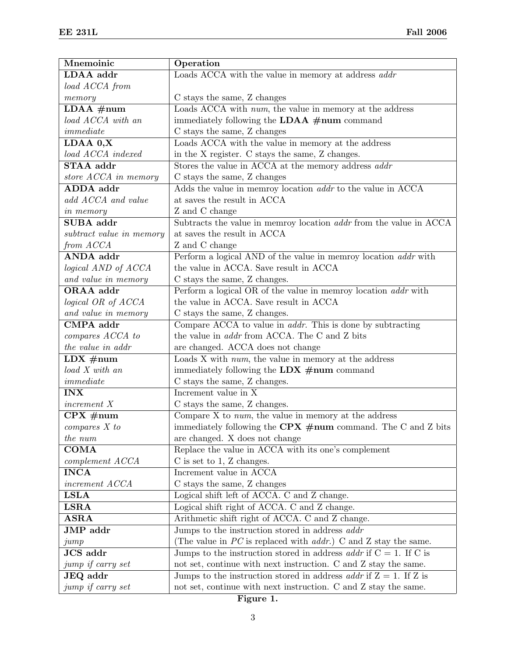| Mnemoinic                | Operation                                                                   |  |
|--------------------------|-----------------------------------------------------------------------------|--|
| LDAA addr                | Loads ACCA with the value in memory at address addr                         |  |
| load ACCA from           |                                                                             |  |
| memory                   | C stays the same, Z changes                                                 |  |
| $LDAA \#num$             | Loads ACCA with num, the value in memory at the address                     |  |
| load ACCA with an        | immediately following the LDAA #num command                                 |  |
| immediate                | $\mathrm C$ stays the same, Z changes                                       |  |
| LDAA 0,X                 | Loads ACCA with the value in memory at the address                          |  |
| load ACCA indexed        | in the X register. C stays the same, Z changes.                             |  |
| STAA addr                | Stores the value in ACCA at the memory address addr                         |  |
| store ACCA in memory     | C stays the same, Z changes                                                 |  |
| ADDA addr                | Adds the value in memroy location <i>addr</i> to the value in ACCA          |  |
| add ACCA and value       | at saves the result in ACCA                                                 |  |
| <i>in memory</i>         | Z and C change                                                              |  |
| SUBA addr                | Subtracts the value in memroy location <i>addr</i> from the value in ACCA   |  |
| subtract value in memory | at saves the result in ACCA                                                 |  |
| from ACCA                | Z and C change                                                              |  |
| ANDA addr                | Perform a logical AND of the value in memroy location <i>addr</i> with      |  |
| logical AND of ACCA      | the value in ACCA. Save result in ACCA                                      |  |
| and value in memory      | C stays the same, Z changes.                                                |  |
| ORAA addr                | Perform a logical OR of the value in memroy location <i>addr</i> with       |  |
| logical OR of ACCA       | the value in ACCA. Save result in ACCA                                      |  |
| and value in memory      | C stays the same, Z changes.                                                |  |
| CMPA addr                | Compare ACCA to value in <i>addr</i> . This is done by subtracting          |  |
| compares ACCA to         | the value in <i>addr</i> from ACCA. The C and Z bits                        |  |
| the value in addr        | are changed. ACCA does not change                                           |  |
| $LDX \#num$              | Loads $X$ with $num$ , the value in memory at the address                   |  |
| load X with an           | immediately following the LDX $\#num$ command                               |  |
| immediate                | C stays the same, Z changes.                                                |  |
| <b>INX</b>               | Increment value in X                                                        |  |
| increment X              | C stays the same, Z changes.                                                |  |
| $CPX \#num$              | Compare $X$ to $num$ , the value in memory at the address                   |  |
| compares X to            | immediately following the CPX $\#num$ command. The C and Z bits             |  |
| the num                  | are changed. X does not change                                              |  |
| <b>COMA</b>              | Replace the value in ACCA with its one's complement                         |  |
| complement ACCA          | $C$ is set to 1, Z changes.                                                 |  |
| <b>INCA</b>              | Increment value in ACCA                                                     |  |
| increment ACCA           | C stays the same, Z changes                                                 |  |
| <b>LSLA</b>              | Logical shift left of ACCA. C and Z change.                                 |  |
| <b>LSRA</b>              | Logical shift right of ACCA. C and Z change.                                |  |
| $\bf ASRA$               | Arithmetic shift right of ACCA. C and Z change.                             |  |
| JMP addr                 | Jumps to the instruction stored in address <i>addr</i>                      |  |
| jump                     | (The value in $PC$ is replaced with <i>addr.</i> ) C and Z stay the same.   |  |
| JCS addr                 | Jumps to the instruction stored in address <i>addr</i> if $C = 1$ . If C is |  |
| jump if carry set        | not set, continue with next instruction. C and Z stay the same.             |  |
| JEQ addr                 | Jumps to the instruction stored in address <i>addr</i> if $Z = 1$ . If Z is |  |
| jump if carry set        | not set, continue with next instruction. C and Z stay the same.             |  |

3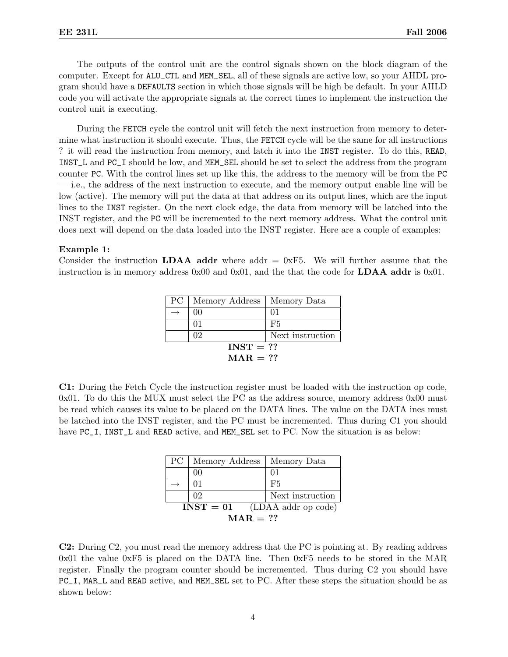The outputs of the control unit are the control signals shown on the block diagram of the computer. Except for ALU\_CTL and MEM\_SEL, all of these signals are active low, so your AHDL program should have a DEFAULTS section in which those signals will be high be default. In your AHLD code you will activate the appropriate signals at the correct times to implement the instruction the control unit is executing.

During the FETCH cycle the control unit will fetch the next instruction from memory to determine what instruction it should execute. Thus, the FETCH cycle will be the same for all instructions ? it will read the instruction from memory, and latch it into the INST register. To do this, READ, INST\_L and PC\_I should be low, and MEM\_SEL should be set to select the address from the program counter PC. With the control lines set up like this, the address to the memory will be from the PC — i.e., the address of the next instruction to execute, and the memory output enable line will be low (active). The memory will put the data at that address on its output lines, which are the input lines to the INST register. On the next clock edge, the data from memory will be latched into the INST register, and the PC will be incremented to the next memory address. What the control unit does next will depend on the data loaded into the INST register. Here are a couple of examples:

#### Example 1:

Consider the instruction **LDAA addr** where addr  $= 0xF5$ . We will further assume that the instruction is in memory address  $0x00$  and  $0x01$ , and the that the code for **LDAA addr** is  $0x01$ .

| PC <sub>1</sub>   | Memory Address | Memory Data      |
|-------------------|----------------|------------------|
|                   | 00             | 01               |
|                   | 01             | F5               |
|                   | 02             | Next instruction |
| $INST = ??$       |                |                  |
| $\text{MAR} = ??$ |                |                  |

C1: During the Fetch Cycle the instruction register must be loaded with the instruction op code, 0x01. To do this the MUX must select the PC as the address source, memory address 0x00 must be read which causes its value to be placed on the DATA lines. The value on the DATA ines must be latched into the INST register, and the PC must be incremented. Thus during C1 you should have PC<sub>I</sub>, INST<sub>II</sub> and READ active, and MEM<sub>I</sub>SEL set to PC. Now the situation is as below:

| $\rm{PC}^-$                        | Memory Address   Memory Data |                  |
|------------------------------------|------------------------------|------------------|
|                                    | 00                           | 01               |
|                                    | 01                           | F5               |
|                                    | 02                           | Next instruction |
| $INST = 01$<br>(LDAA addr op code) |                              |                  |
| $\text{MAR} = ??$                  |                              |                  |

C2: During C2, you must read the memory address that the PC is pointing at. By reading address 0x01 the value 0xF5 is placed on the DATA line. Then 0xF5 needs to be stored in the MAR register. Finally the program counter should be incremented. Thus during C2 you should have PC\_I, MAR\_L and READ active, and MEM\_SEL set to PC. After these steps the situation should be as shown below: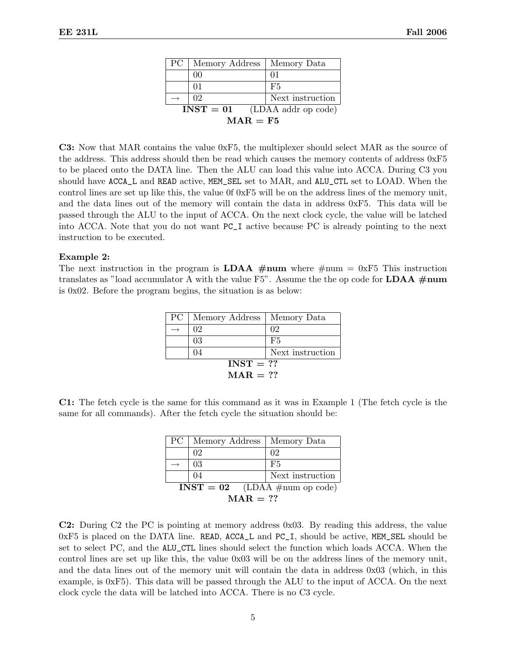| PC -                     | Memory Address   Memory Data       |                  |
|--------------------------|------------------------------------|------------------|
|                          | 00                                 |                  |
|                          | 01                                 | F5               |
|                          | 02                                 | Next instruction |
|                          | (LDAA addr op code)<br>$INST = 01$ |                  |
| $\text{MAR} = \text{F5}$ |                                    |                  |

C3: Now that MAR contains the value 0xF5, the multiplexer should select MAR as the source of the address. This address should then be read which causes the memory contents of address 0xF5 to be placed onto the DATA line. Then the ALU can load this value into ACCA. During C3 you should have ACCA\_L and READ active, MEM\_SEL set to MAR, and ALU\_CTL set to LOAD. When the control lines are set up like this, the value 0f 0xF5 will be on the address lines of the memory unit, and the data lines out of the memory will contain the data in address 0xF5. This data will be passed through the ALU to the input of ACCA. On the next clock cycle, the value will be latched into ACCA. Note that you do not want PC\_I active because PC is already pointing to the next instruction to be executed.

#### Example 2:

The next instruction in the program is **LDAA** #num where #num = 0xF5 This instruction translates as "load accumulator A with the value F5". Assume the the op code for  $LDAA \#num$ is 0x02. Before the program begins, the situation is as below:

| PC <sub>1</sub>   | Memory Address   Memory Data |                  |  |
|-------------------|------------------------------|------------------|--|
|                   | 02                           | 02               |  |
|                   | 03                           | F5               |  |
|                   | 04                           | Next instruction |  |
|                   | $INST = ??$                  |                  |  |
| $\text{MAR} = ??$ |                              |                  |  |

C1: The fetch cycle is the same for this command as it was in Example 1 (The fetch cycle is the same for all commands). After the fetch cycle the situation should be:

| PC -                            | Memory Address | Memory Data      |
|---------------------------------|----------------|------------------|
|                                 | 02             | 02               |
|                                 | 03             | F5               |
|                                 | 04             | Next instruction |
| $INST = 02$ (LDAA #num op code) |                |                  |
| $\text{MAR} = ??$               |                |                  |

C2: During C2 the PC is pointing at memory address 0x03. By reading this address, the value 0xF5 is placed on the DATA line. READ, ACCA\_L and PC\_I, should be active, MEM\_SEL should be set to select PC, and the ALU\_CTL lines should select the function which loads ACCA. When the control lines are set up like this, the value 0x03 will be on the address lines of the memory unit, and the data lines out of the memory unit will contain the data in address 0x03 (which, in this example, is 0xF5). This data will be passed through the ALU to the input of ACCA. On the next clock cycle the data will be latched into ACCA. There is no C3 cycle.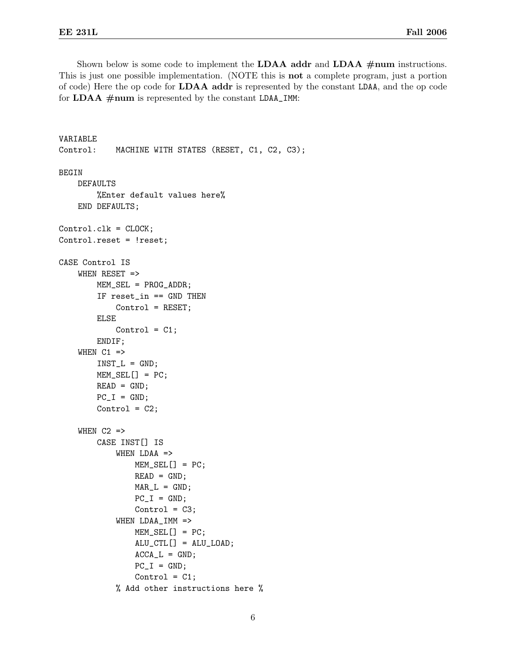Shown below is some code to implement the **LDAA addr** and **LDAA**  $\#num$  instructions. This is just one possible implementation. (NOTE this is not a complete program, just a portion of code) Here the op code for LDAA addr is represented by the constant LDAA, and the op code for  $LDAA \#num$  is represented by the constant  $LDAA \_IMM$ :

```
VARIABLE
Control: MACHINE WITH STATES (RESET, C1, C2, C3);
BEGIN
    DEFAULTS
        %Enter default values here%
    END DEFAULTS;
Control.clk = CLOCK;
Control.reset = !reset;
CASE Control IS
    WHEN RESET =>
        MEM_SEL = PROG_ADDR;
        IF reset_in == GND THEN
            Control = RESET;
        ELSE
            Control = C1;ENDIF;
    WHEN C1 =>
        INT_L = GND;MEM_SEL[] = PC;
        READ = GND;PC_I = GND;Control = C2;WHEN C2 \RightarrowCASE INST[] IS
            WHEN LDAA =>
                MEM_SEL[] = PC;
                READ = GND;MAR_L = GND;PC_I = GND;Control = C3;WHEN LDAA_IMM =>
                MEM\_SEL[] = PC;ALU_CTL[] = ALU_LOAD;
                ACCA_L = GND;PC_I = GND;Control = C1;% Add other instructions here %
```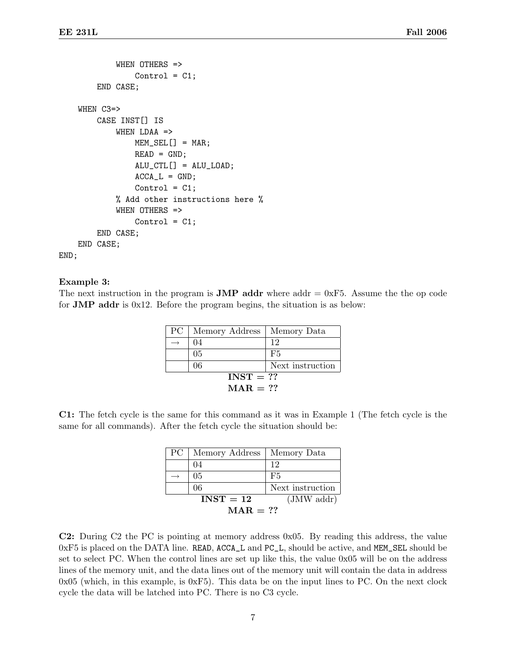```
WHEN OTHERS =>
                Control = C1;END CASE;
    WHEN C3=>
        CASE INST[] IS
            WHEN LDAA =>
                MEM\_SEL[] = MAR;READ = GND;ALU_CTL[] = ALU_LOAD;
                ACCA_L = GND;Control = C1;% Add other instructions here %
            WHEN OTHERS =>
                Control = C1;END CASE;
    END CASE;
END;
```
#### Example 3:

The next instruction in the program is **JMP addr** where addr  $= 0xF5$ . Assume the the op code for JMP addr is 0x12. Before the program begins, the situation is as below:

| PC <sub>1</sub>   | Memory Address   Memory Data |                  |
|-------------------|------------------------------|------------------|
|                   | 04                           | 12               |
|                   | 0 <sub>5</sub>               | F5               |
|                   | 06                           | Next instruction |
| $INST = ??$       |                              |                  |
| $\text{MAR} = ??$ |                              |                  |

C1: The fetch cycle is the same for this command as it was in Example 1 (The fetch cycle is the same for all commands). After the fetch cycle the situation should be:

| PC -              | Memory Address                        | Memory Data      |  |
|-------------------|---------------------------------------|------------------|--|
|                   | 04                                    | 12               |  |
|                   | 0 <sub>5</sub>                        | F5               |  |
|                   | 06                                    | Next instruction |  |
|                   | (JMW <sub>addr</sub> )<br>$INST = 12$ |                  |  |
| $\text{MAR} = ??$ |                                       |                  |  |

C2: During C2 the PC is pointing at memory address 0x05. By reading this address, the value 0xF5 is placed on the DATA line. READ, ACCA\_L and PC\_L, should be active, and MEM\_SEL should be set to select PC. When the control lines are set up like this, the value 0x05 will be on the address lines of the memory unit, and the data lines out of the memory unit will contain the data in address  $0x05$  (which, in this example, is  $0xF5$ ). This data be on the input lines to PC. On the next clock cycle the data will be latched into PC. There is no C3 cycle.